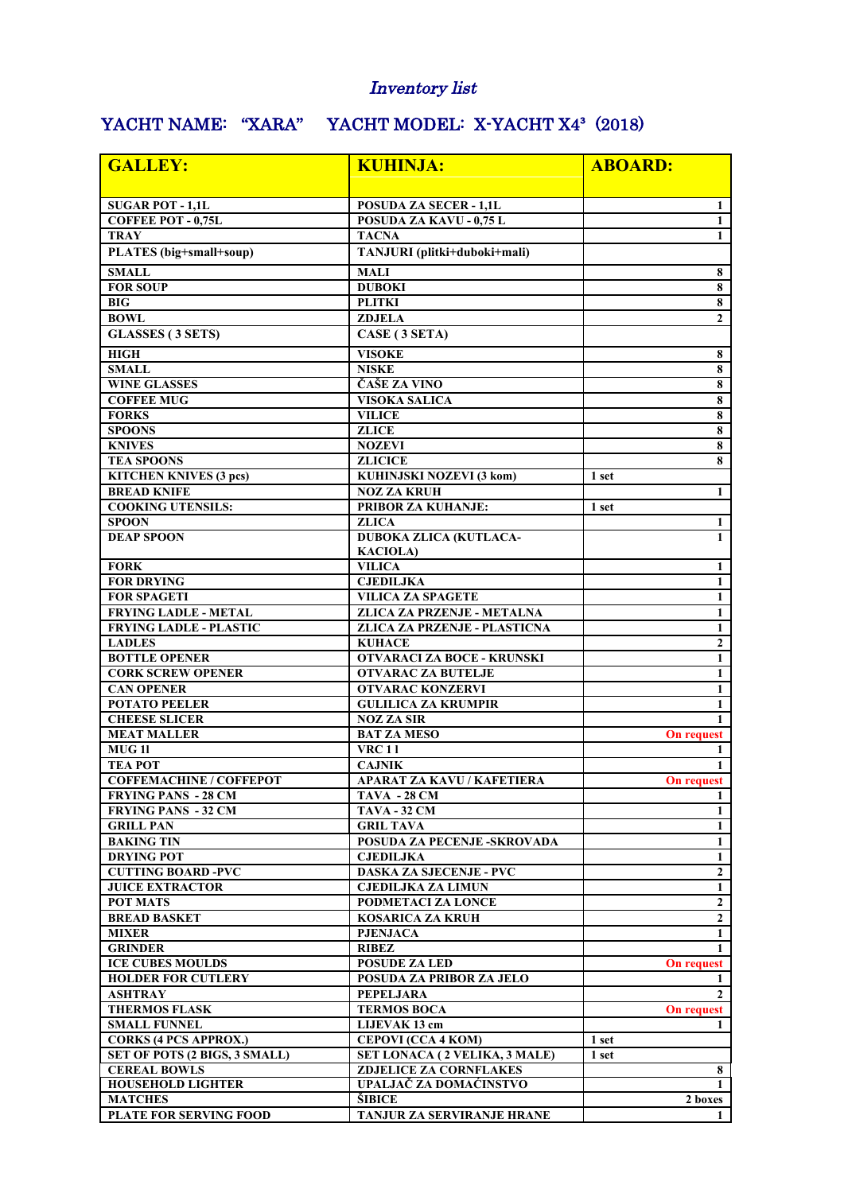## Inventory list

## YACHT NAME: "XARA" YACHT MODEL: X-YACHT X4**³** (2018)

| <b>GALLEY:</b>                                     | <b>KUHINJA:</b>                                       | <b>ABOARD:</b>          |
|----------------------------------------------------|-------------------------------------------------------|-------------------------|
|                                                    |                                                       |                         |
| <b>SUGAR POT - 1,1L</b>                            | <b>POSUDA ZA SECER - 1,1L</b>                         | 1<br>$\mathbf{1}$       |
| <b>COFFEE POT - 0,75L</b><br><b>TRAY</b>           | <b>POSUDA ZA KAVU - 0,75 L</b><br><b>TACNA</b>        | $\mathbf{1}$            |
| PLATES (big+small+soup)                            | TANJURI (plitki+duboki+mali)                          |                         |
|                                                    |                                                       |                         |
| <b>SMALL</b>                                       | <b>MALI</b>                                           | 8                       |
| <b>FOR SOUP</b>                                    | <b>DUBOKI</b>                                         | 8                       |
| <b>BIG</b>                                         | <b>PLITKI</b>                                         | 8                       |
| <b>BOWL</b>                                        | <b>ZDJELA</b>                                         | $\overline{2}$          |
| <b>GLASSES</b> (3 SETS)                            | CASE (3 SETA)                                         |                         |
| <b>HIGH</b>                                        | <b>VISOKE</b>                                         | 8                       |
| <b>SMALL</b>                                       | <b>NISKE</b>                                          | $\overline{\bf 8}$      |
| <b>WINE GLASSES</b>                                | ČAŠE ZA VINO                                          | $\overline{\bf 8}$      |
| <b>COFFEE MUG</b>                                  | <b>VISOKA SALICA</b>                                  | 8                       |
| <b>FORKS</b>                                       | <b>VILICE</b>                                         | 8                       |
| <b>SPOONS</b>                                      | <b>ZLICE</b>                                          | 8                       |
| <b>KNIVES</b>                                      | <b>NOZEVI</b>                                         | $\overline{\bf 8}$<br>8 |
| <b>TEA SPOONS</b><br><b>KITCHEN KNIVES (3 pcs)</b> | <b>ZLICICE</b><br>KUHINJSKI NOZEVI (3 kom)            | 1 set                   |
| <b>BREAD KNIFE</b>                                 | <b>NOZ ZA KRUH</b>                                    | $\mathbf{1}$            |
| <b>COOKING UTENSILS:</b>                           | PRIBOR ZA KUHANJE:                                    | 1 set                   |
| <b>SPOON</b>                                       | <b>ZLICA</b>                                          | 1                       |
| <b>DEAP SPOON</b>                                  | <b>DUBOKA ZLICA (KUTLACA-</b>                         | $\mathbf{1}$            |
|                                                    | <b>KACIOLA</b> )                                      |                         |
| <b>FORK</b>                                        | <b>VILICA</b>                                         | 1                       |
| <b>FOR DRYING</b>                                  | <b>CJEDILJKA</b>                                      | $\mathbf{1}$            |
| <b>FOR SPAGETI</b>                                 | <b>VILICA ZA SPAGETE</b>                              | $\mathbf{1}$            |
| <b>FRYING LADLE - METAL</b>                        | ZLICA ZA PRZENJE - METALNA                            | $\mathbf{1}$            |
| <b>FRYING LADLE - PLASTIC</b>                      | ZLICA ZA PRZENJE - PLASTICNA                          | $\mathbf{1}$            |
| <b>LADLES</b>                                      | <b>KUHACE</b>                                         | $\mathbf{2}$            |
| <b>BOTTLE OPENER</b>                               | OTVARACI ZA BOCE - KRUNSKI                            | $\mathbf{1}$            |
| <b>CORK SCREW OPENER</b>                           | <b>OTVARAC ZA BUTELJE</b>                             | $\mathbf{1}$            |
| <b>CAN OPENER</b><br><b>POTATO PEELER</b>          | <b>OTVARAC KONZERVI</b><br><b>GULILICA ZA KRUMPIR</b> | 1<br>1                  |
| <b>CHEESE SLICER</b>                               | <b>NOZ ZA SIR</b>                                     | 1                       |
| <b>MEAT MALLER</b>                                 | <b>BAT ZA MESO</b>                                    | <b>On request</b>       |
| MUG <sub>11</sub>                                  | <b>VRC 11</b>                                         | 1                       |
| <b>TEA POT</b>                                     | <b>CAJNIK</b>                                         | $\mathbf{1}$            |
| <b>COFFEMACHINE / COFFEPOT</b>                     | APARAT ZA KAVU / KAFETIERA                            | <b>On request</b>       |
| <b>FRYING PANS - 28 CM</b>                         | <b>TAVA - 28 CM</b>                                   | $\mathbf{1}$            |
| <b>FRYING PANS - 32 CM</b>                         | <b>TAVA - 32 CM</b>                                   | $\mathbf{1}$            |
| <b>GRILL PAN</b>                                   | <b>GRIL TAVA</b>                                      | 1                       |
| <b>BAKING TIN</b>                                  | POSUDA ZA PECENJE -SKROVADA                           | $\mathbf{1}$            |
| <b>DRYING POT</b>                                  | <b>CJEDILJKA</b>                                      | $\mathbf{1}$            |
| <b>CUTTING BOARD -PVC</b>                          | <b>DASKA ZA SJECENJE - PVC</b>                        | $\mathbf{2}$            |
| <b>JUICE EXTRACTOR</b>                             | <b>CJEDILJKA ZA LIMUN</b>                             | $\mathbf{1}$            |
| POT MATS                                           | PODMETACI ZA LONCE                                    | $\mathbf{2}$            |
| <b>BREAD BASKET</b>                                | <b>KOSARICA ZA KRUH</b><br><b>PJENJACA</b>            | $\mathbf{2}$            |
| <b>MIXER</b><br><b>GRINDER</b>                     | <b>RIBEZ</b>                                          | 1<br>$\mathbf{1}$       |
| <b>ICE CUBES MOULDS</b>                            | <b>POSUDE ZA LED</b>                                  | <b>On request</b>       |
| <b>HOLDER FOR CUTLERY</b>                          | POSUDA ZA PRIBOR ZA JELO                              | 1                       |
| <b>ASHTRAY</b>                                     | <b>PEPELJARA</b>                                      | $\mathbf{2}$            |
| <b>THERMOS FLASK</b>                               | <b>TERMOS BOCA</b>                                    | <b>On request</b>       |
| <b>SMALL FUNNEL</b>                                | LIJEVAK 13 cm                                         | 1                       |
| <b>CORKS (4 PCS APPROX.)</b>                       | <b>CEPOVI (CCA 4 KOM)</b>                             | 1 set                   |
| <b>SET OF POTS (2 BIGS, 3 SMALL)</b>               | <b>SET LONACA (2 VELIKA, 3 MALE)</b>                  | 1 set                   |
| <b>CEREAL BOWLS</b>                                | <b>ZDJELICE ZA CORNFLAKES</b>                         | 8                       |
| <b>HOUSEHOLD LIGHTER</b>                           | UPALJAČ ZA DOMAĆINSTVO                                | $\mathbf{1}$            |
| <b>MATCHES</b>                                     | <b>ŠIBICE</b>                                         | 2 boxes                 |
| <b>PLATE FOR SERVING FOOD</b>                      | TANJUR ZA SERVIRANJE HRANE                            | 1                       |